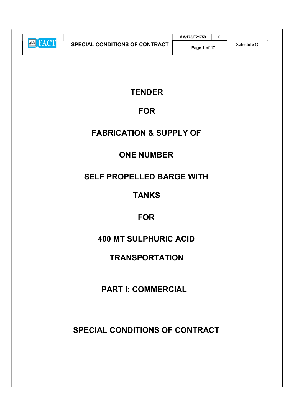|            |                                | MM/175/E21758 |            |
|------------|--------------------------------|---------------|------------|
| $\sqrt{ }$ | SPECIAL CONDITIONS OF CONTRACT | Page 1 of 17  | Schedule O |

# **TENDER**

# FOR

# FABRICATION & SUPPLY OF

# ONE NUMBER

# SELF PROPELLED BARGE WITH

# TANKS

# FOR

# 400 MT SULPHURIC ACID

# **TRANSPORTATION**

# PART I: COMMERCIAL

# SPECIAL CONDITIONS OF CONTRACT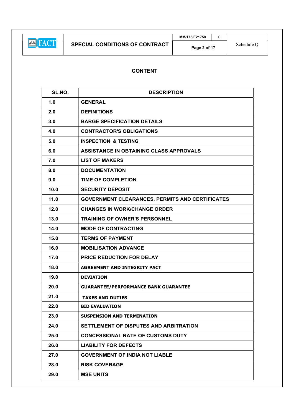# CONTENT

| SL.NO. | <b>DESCRIPTION</b>                                     |  |
|--------|--------------------------------------------------------|--|
| 1.0    | <b>GENERAL</b>                                         |  |
| 2.0    | <b>DEFINITIONS</b>                                     |  |
| 3.0    | <b>BARGE SPECIFICATION DETAILS</b>                     |  |
| 4.0    | <b>CONTRACTOR'S OBLIGATIONS</b>                        |  |
| 5.0    | <b>INSPECTION &amp; TESTING</b>                        |  |
| 6.0    | ASSISTANCE IN OBTAINING CLASS APPROVALS                |  |
| 7.0    | <b>LIST OF MAKERS</b>                                  |  |
| 8.0    | <b>DOCUMENTATION</b>                                   |  |
| 9.0    | <b>TIME OF COMPLETION</b>                              |  |
| 10.0   | <b>SECURITY DEPOSIT</b>                                |  |
| 11.0   | <b>GOVERNMENT CLEARANCES, PERMITS AND CERTIFICATES</b> |  |
| 12.0   | <b>CHANGES IN WORK/CHANGE ORDER</b>                    |  |
| 13.0   | <b>TRAINING OF OWNER'S PERSONNEL</b>                   |  |
| 14.0   | <b>MODE OF CONTRACTING</b>                             |  |
| 15.0   | <b>TERMS OF PAYMENT</b>                                |  |
| 16.0   | <b>MOBILISATION ADVANCE</b>                            |  |
| 17.0   | PRICE REDUCTION FOR DELAY                              |  |
| 18.0   | <b>AGREEMENT AND INTEGRITY PACT</b>                    |  |
| 19.0   | <b>DEVIATION</b>                                       |  |
| 20.0   | <b>GUARANTEE/PERFORMANCE BANK GUARANTEE</b>            |  |
| 21.0   | <b>TAXES AND DUTIES</b>                                |  |
| 22.0   | <b>BID EVALUATION</b>                                  |  |
| 23.0   | <b>SUSPENSION AND TERMINATION</b>                      |  |
| 24.0   | SETTLEMENT OF DISPUTES AND ARBITRATION                 |  |
| 25.0   | <b>CONCESSIONAL RATE OF CUSTOMS DUTY</b>               |  |
| 26.0   | <b>LIABILITY FOR DEFECTS</b>                           |  |
| 27.0   | <b>GOVERNMENT OF INDIA NOT LIABLE</b>                  |  |
| 28.0   | <b>RISK COVERAGE</b>                                   |  |
| 29.0   | <b>MSE UNITS</b>                                       |  |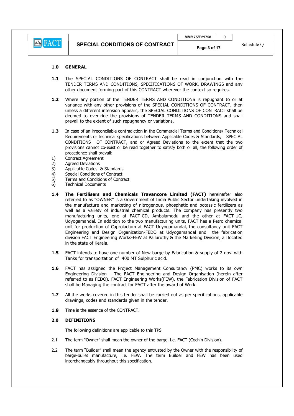#### 1.0 GENERAL

- 1.1 The SPECIAL CONDITIONS OF CONTRACT shall be read in conjunction with the TENDER TERMS AND CONDITIONS, SPECIFICATIONS OF WORK, DRAWINGS and any other document forming part of this CONTRACT wherever the context so requires.
- 1.2 Where any portion of the TENDER TERMS AND CONDITIONS is repugnant to or at variance with any other provisions of the SPECIAL CONDITIONS OF CONTRACT, then unless a different intension appears, the SPECIAL CONDITIONS OF CONTRACT shall be deemed to over-ride the provisions of TENDER TERMS AND CONDITIONS and shall prevail to the extent of such repugnancy or variations.
- 1.3 In case of an irreconcilable contradiction in the Commercial Terms and Conditions/ Technical Requirements or technical specifications between Applicable Codes & Standards, SPECIAL CONDITIONS OF CONTRACT, and or Agreed Deviations to the extent that the two provisions cannot co-exist or be read together to satisfy both or all, the following order of precedence shall prevail:
- 1) Contract Agreement
- 2) Agreed Deviations
- 3) Applicable Codes & Standards
- 4) Special Conditions of Contract
- 5) Terms and Conditions of Contract
- 6) Technical Documents
- 1.4 The Fertilisers and Chemicals Travancore Limited (FACT) hereinafter also referred to as "OWNER" is a Government of India Public Sector undertaking involved in the manufacture and marketing of nitrogenous, phosphatic and potassic fertilizers as well as a variety of industrial chemical products. The company has presently two manufacturing units, one at FACT-CD, Ambalamedu and the other at FACT-UC, Udyogamandal. In addition to the two manufacturing units, FACT has a Petro chemical unit for production of Caprolactum at FACT Udyogamandal, the consultancy unit FACT Engineering and Design Organization-FEDO at Udyogamandal and the fabrication division FACT Engineering Works-FEW at Palluruthy & the Marketing Division, all located in the state of Kerala.
- **1.5** FACT intends to have one number of New barge by Fabrication & supply of 2 nos. with Tanks for transportation of 400 MT Sulphuric acid.
- 1.6 FACT has assigned the Project Management Consultancy (PMC) works to its own Engineering Division – The FACT Engineering and Design Organisation (herein after referred to as FEDO). FACT Engineering Works(FEW), the Fabrication Division of FACT shall be Managing the contract for FACT after the award of Work.
- 1.7 All the works covered in this tender shall be carried out as per specifications, applicable drawings, codes and standards given in the tender.
- 1.8 Time is the essence of the CONTRACT.

#### 2.0 DEFINITIONS

The following definitions are applicable to this TPS

- 2.1 The term "Owner" shall mean the owner of the barge, i.e. FACT (Cochin Division).
- 2.2 The term "Builder" shall mean the agency entrusted by the Owner with the responsibility of barge-bullet manufacture, i.e. FEW. The term Builder and FEW has been used interchangeably throughout this specification.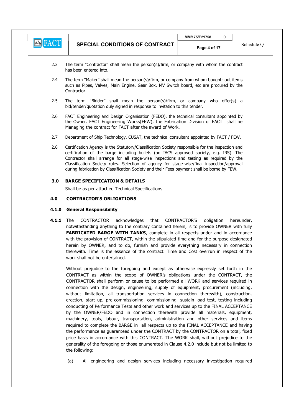|                                                           |                                       | MM/175/E21758 |            |
|-----------------------------------------------------------|---------------------------------------|---------------|------------|
| $\left  \mathcal{A} \right $ $\left  \mathcal{A} \right $ | <b>SPECIAL CONDITIONS OF CONTRACT</b> | Page 4 of 17  | Schedule ( |

- 2.3 The term "Contractor" shall mean the person(s)/firm, or company with whom the contract has been entered into.
- 2.4 The term "Maker" shall mean the person(s)/firm, or company from whom bought- out items such as Pipes, Valves, Main Engine, Gear Box, MV Switch board, etc are procured by the Contractor.
- 2.5 The term "Bidder" shall mean the person(s)/firm, or company who offer(s) a bid/tender/quotation duly signed in response to invitation to this tender.
- 2.6 FACT Engineering and Design Organisation (FEDO), the technical consultant appointed by the Owner. FACT Engineering Works(FEW), the Fabrication Division of FACT shall be Managing the contract for FACT after the award of Work.
- 2.7 Department of Ship Technology, CUSAT, the technical consultant appointed by FACT / FEW.
- 2.8 Certification Agency is the Statutory/Classification Society responsible for the inspection and certification of the barge including bullets (an IACS approved society, e.g. IRS). The Contractor shall arrange for all stage-wise inspections and testing as required by the Classification Society rules. Selection of agency for stage-wise/final inspection/approval during fabrication by Classification Society and their Fees payment shall be borne by FEW.

# 3.0 BARGE SPECIFICATION & DETAILS

Shall be as per attached Technical Specifications.

### 4.0 CONTRACTOR'S OBLIGATIONS

#### 4.1.0 General Responsibility

**4.1.1** The CONTRACTOR acknowledges that CONTRACTOR'S obligation hereunder, notwithstanding anything to the contrary contained herein, is to provide OWNER with fully FABRICATED BARGE WITH TANKS, complete in all respects under and in accordance with the provision of CONTRACT, within the stipulated time and for the purpose designated herein by OWNER, and to do, furnish and provide everything necessary in connection therewith. Time is the essence of the contract. Time and Cost overrun in respect of the work shall not be entertained.

Without prejudice to the foregoing and except as otherwise expressly set forth in the CONTRACT as within the scope of OWNER's obligations under the CONTRACT, the CONTRACTOR shall perform or cause to be performed all WORK and services required in connection with the design, engineering, supply of equipment, procurement (including, without limitation, all transportation services in connection therewith), construction, erection, start up, pre-commissioning, commissioning, sustain load test, testing including conducting of Performance Tests and other work and services up to the FINAL ACCEPTANCE by the OWNER/FEDO and in connection therewith provide all materials, equipment, machinery, tools, labour, transportation, administration and other services and items required to complete the BARGE in all respects up to the FINAL ACCEPTANCE and having the performance as guaranteed under the CONTRACT by the CONTRACTOR on a total, fixed price basis in accordance with this CONTRACT. The WORK shall, without prejudice to the generality of the foregoing or those enumerated in Clause 4.2.0 include but not be limited to the following:

(a) All engineering and design services including necessary investigation required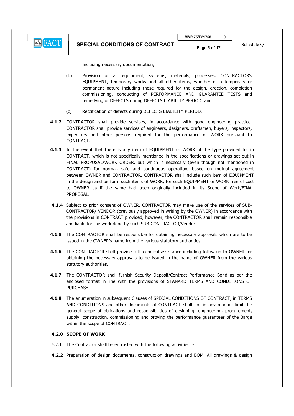including necessary documentation;

- (b) Provision of all equipment, systems, materials, processes, CONTRACTOR's EQUIPMENT, temporary works and all other items, whether of a temporary or permanent nature including those required for the design, erection, completion commissioning, conducting of PERFORMANCE AND GUARANTEE TESTS and remedying of DEFECTS during DEFECTS LIABILITY PERIOD and
- (c) Rectification of defects during DEFECTS LIABILITY PERIOD.
- 4.1.2 CONTRACTOR shall provide services, in accordance with good engineering practice. CONTRACTOR shall provide services of engineers, designers, draftsmen, buyers, inspectors, expediters and other persons required for the performance of WORK pursuant to CONTRACT.
- 4.1.3 In the event that there is any item of EQUIPMENT or WORK of the type provided for in CONTRACT, which is not specifically mentioned in the specifications or drawings set out in FINAL PROPOSAL/WORK ORDER, but which is necessary (even though not mentioned in CONTRACT) for normal, safe and continuous operation, based on mutual agreement between OWNER and CONTRACTOR, CONTRACTOR shall include such item of EQUIPMENT in the design and perform such items of WORK, for such EQUIPMENT or WORK free of cost to OWNER as if the same had been originally included in its Scope of Work/FINAL PROPOSAL.
- 4.1.4 Subject to prior consent of OWNER, CONTRACTOR may make use of the services of SUB-CONTRACTOR/ VENDOR (previously approved in writing by the OWNER) in accordance with the provisions in CONTRACT provided, however, the CONTRACTOR shall remain responsible and liable for the work done by such SUB-CONTRACTOR/Vendor.
- 4.1.5 The CONTRACTOR shall be responsible for obtaining necessary approvals which are to be issued in the OWNER's name from the various statutory authorities.
- 4.1.6 The CONTRACTOR shall provide full technical assistance including follow-up to OWNER for obtaining the necessary approvals to be issued in the name of OWNER from the various statutory authorities.
- 4.1.7 The CONTRACTOR shall furnish Security Deposit/Contract Performance Bond as per the enclosed format in line with the provisions of STANARD TERMS AND CONDITIONS OF PURCHASE.
- 4.1.8 The enumeration in subsequent Clauses of SPECIAL CONDITIONS OF CONTRACT, in TERMS AND CONDITIONS and other documents of CONTRACT shall not in any manner limit the general scope of obligations and responsibilities of designing, engineering, procurement, supply, construction, commissioning and proving the performance guarantees of the Barge within the scope of CONTRACT.

# 4.2.0 SCOPE OF WORK

- 4.2.1 The Contractor shall be entrusted with the following activities: -
- 4.2.2 Preparation of design documents, construction drawings and BOM. All drawings & design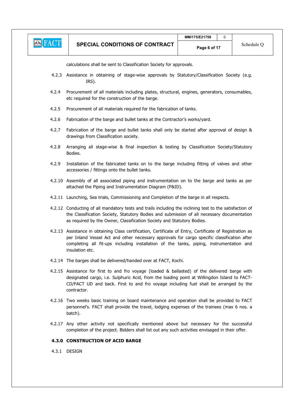

calculations shall be sent to Classification Society for approvals.

- 4.2.3 Assistance in obtaining of stage-wise approvals by Statutory/Classification Society (e.g. IRS).
- 4.2.4 Procurement of all materials including plates, structural, engines, generators, consumables, etc required for the construction of the barge.
- 4.2.5 Procurement of all materials required for the fabrication of tanks.
- 4.2.6 Fabrication of the barge and bullet tanks at the Contractor's works/yard.
- 4.2.7 Fabrication of the barge and bullet tanks shall only be started after approval of design & drawings from Classification society.
- 4.2.8 Arranging all stage-wise & final inspection & testing by Classification Society/Statutory Bodies.
- 4.2.9 Installation of the fabricated tanks on to the barge including fitting of valves and other accessories / fittings onto the bullet tanks.
- 4.2.10 Assembly of all associated piping and instrumentation on to the barge and tanks as per attached the Piping and Instrumentation Diagram (P&ID).
- 4.2.11 Launching, Sea trials, Commissioning and Completion of the barge in all respects.
- 4.2.12 Conducting of all mandatory tests and trails including the inclining test to the satisfaction of the Classification Society, Statutory Bodies and submission of all necessary documentation as required by the Owner, Classification Society and Statutory Bodies.
- 4.2.13 Assistance in obtaining Class certification, Certificate of Entry, Certificate of Registration as per Inland Vessel Act and other necessary approvals for cargo specific classification after completing all fit-ups including installation of the tanks, piping, instrumentation and insulation etc.
- 4.2.14 The barges shall be delivered/handed over at FACT, Kochi.
- 4.2.15 Assistance for first to and fro voyage (loaded & ballasted) of the delivered barge with designated cargo, i.e. Sulphuric Acid, from the loading point at Willingdon Island to FACT-CD/FACT UD and back. First to and fro voyage including fuel shall be arranged by the contractor.
- 4.2.16 Two weeks basic training on board maintenance and operation shall be provided to FACT personnel's. FACT shall provide the travel, lodging expenses of the trainees (max 6 nos. a batch).
- 4.2.17 Any other activity not specifically mentioned above but necessary for the successful completion of the project. Bidders shall list out any such activities envisaged in their offer.

#### 4.3.0 CONSTRUCTION OF ACID BARGE

4.3.1 DESIGN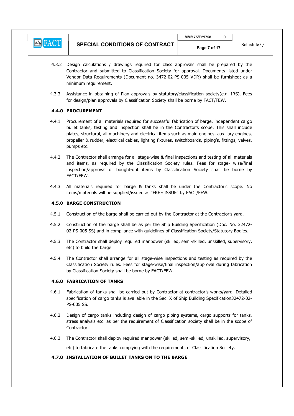

- 4.3.2 Design calculations / drawings required for class approvals shall be prepared by the Contractor and submitted to Classification Society for approval. Documents listed under Vendor Data Requirements (Document no. 3472-02-PS-005 VDR) shall be furnished; as a minimum requirement.
- 4.3.3 Assistance in obtaining of Plan approvals by statutory/classification society(e.g. IRS). Fees for design/plan approvals by Classification Society shall be borne by FACT/FEW.

# 4.4.0 PROCUREMENT

- 4.4.1 Procurement of all materials required for successful fabrication of barge, independent cargo bullet tanks, testing and inspection shall be in the Contractor's scope. This shall include plates, structural, all machinery and electrical items such as main engines, auxiliary engines, propeller & rudder, electrical cables, lighting fixtures, switchboards, piping's, fittings, valves, pumps etc.
- 4.4.2 The Contractor shall arrange for all stage-wise & final inspections and testing of all materials and items, as required by the Classification Society rules. Fees for stage- wise/final inspection/approval of bought-out items by Classification Society shall be borne by FACT/FEW.
- 4.4.3 All materials required for barge & tanks shall be under the Contractor's scope. No items/materials will be supplied/issued as "FREE ISSUE" by FACT/FEW.

# 4.5.0 BARGE CONSTRUCTION

- 4.5.1 Construction of the barge shall be carried out by the Contractor at the Contractor's yard.
- 4.5.2 Construction of the barge shall be as per the Ship Building Specification (Doc. No. 32472- 02-PS-005 SS) and in compliance with guidelines of Classification Society/Statutory Bodies.
- 4.5.3 The Contractor shall deploy required manpower (skilled, semi-skilled, unskilled, supervisory, etc) to build the barge.
- 4.5.4 The Contractor shall arrange for all stage-wise inspections and testing as required by the Classification Society rules. Fees for stage-wise/final inspection/approval during fabrication by Classification Society shall be borne by FACT/FEW.

# 4.6.0 FABRICATION OF TANKS

- 4.6.1 Fabrication of tanks shall be carried out by Contractor at contractor's works/yard. Detailed specification of cargo tanks is available in the Sec. X of Ship Building Specification32472-02- PS-005 SS.
- 4.6.2 Design of cargo tanks including design of cargo piping systems, cargo supports for tanks, stress analysis etc. as per the requirement of Classification society shall be in the scope of Contractor.
- 4.6.3 The Contractor shall deploy required manpower (skilled, semi-skilled, unskilled, supervisory,

etc) to fabricate the tanks complying with the requirements of Classification Society.

# 4.7.0 INSTALLATION OF BULLET TANKS ON TO THE BARGE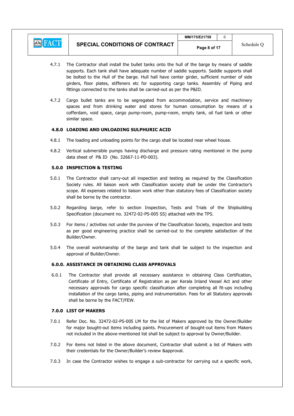

- 4.7.1 The Contractor shall install the bullet tanks onto the hull of the barge by means of saddle supports. Each tank shall have adequate number of saddle supports. Saddle supports shall be bolted to the Hull of the barge. Hull hall have center girder, sufficient number of side girders, floor plates, stiffeners etc for supporting cargo tanks. Assembly of Piping and fittings connected to the tanks shall be carried-out as per the P&ID.
- 4.7.2 Cargo bullet tanks are to be segregated from accommodation, service and machinery spaces and from drinking water and stores for human consumption by means of a cofferdam, void space, cargo pump-room, pump-room, empty tank, oil fuel tank or other similar space.

# 4.8.0 LOADING AND UNLOADING SULPHURIC ACID

- 4.8.1 The loading and unloading points for the cargo shall be located near wheel house.
- 4.8.2 Vertical submersible pumps having discharge and pressure rating mentioned in the pump data sheet of P& ID (No. 32667-11-PD-003).

# 5.0.0 INSPECTION & TESTING

- 5.0.1 The Contractor shall carry-out all inspection and testing as required by the Classification Society rules. All liaison work with Classification society shall be under the Contractor's scope. All expenses related to liaison work other than statutory fees of Classification society shall be borne by the contractor.
- 5.0.2 Regarding barge, refer to section Inspection, Tests and Trials of the Shipbuilding Specification (document no. 32472-02-PS-005 SS) attached with the TPS.
- 5.0.3 For items / activities not under the purview of the Classification Society, inspection and tests as per good engineering practice shall be carried-out to the complete satisfaction of the Builder/Owner.
- 5.0.4 The overall workmanship of the barge and tank shall be subject to the inspection and approval of Builder/Owner.

#### 6.0.0. ASSISTANCE IN OBTAINING CLASS APPROVALS

6.0.1 The Contractor shall provide all necessary assistance in obtaining Class Certification, Certificate of Entry, Certificate of Registration as per Kerala Inland Vessel Act and other necessary approvals for cargo specific classification after completing all fit-ups including installation of the cargo tanks, piping and instrumentation. Fees for all Statutory approvals shall be borne by the FACT/FEW.

# 7.0.0 LIST OF MAKERS

- 7.0.1 Refer Doc. No. 32472-02-PS-005 LM for the list of Makers approved by the Owner/Builder for major bought-out items including paints. Procurement of bought-out items from Makers not included in the above-mentioned list shall be subject to approval by Owner/Builder.
- 7.0.2 For items not listed in the above document, Contractor shall submit a list of Makers with their credentials for the Owner/Builder's review &approval.
- 7.0.3 In case the Contractor wishes to engage a sub-contractor for carrying out a specific work,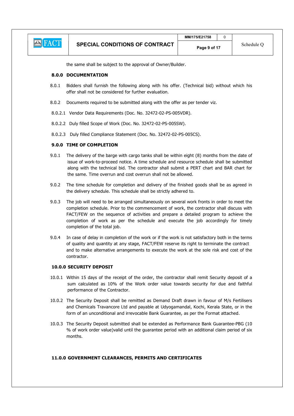|               |                                       | MM/175/E21758 |            |
|---------------|---------------------------------------|---------------|------------|
| <b>E</b> FACT | <b>SPECIAL CONDITIONS OF CONTRACT</b> | Page 9 of 17  | Schedule C |

the same shall be subject to the approval of Owner/Builder.

#### 8.0.0 DOCUMENTATION

- 8.0.1 Bidders shall furnish the following along with his offer. (Technical bid) without which his offer shall not be considered for further evaluation.
- 8.0.2 Documents required to be submitted along with the offer as per tender viz.
- 8.0.2.1 Vendor Data Requirements (Doc. No. 32472-02-PS-005VDR).
- 8.0.2.2 Duly filled Scope of Work (Doc. No. 32472-02-PS-005SW).
- 8.0.2.3 Duly filled Compliance Statement (Doc. No. 32472-02-PS-005CS).

# 9.0.0 TIME OF COMPLETION

- 9.0.1 The delivery of the barge with cargo tanks shall be within eight (8) months from the date of issue of work-to-proceed notice. A time schedule and resource schedule shall be submitted along with the technical bid. The contractor shall submit a PERT chart and BAR chart for the same. Time overrun and cost overrun shall not be allowed.
- 9.0.2 The time schedule for completion and delivery of the finished goods shall be as agreed in the delivery schedule. This schedule shall be strictly adhered to.
- 9.0.3 The job will need to be arranged simultaneously on several work fronts in order to meet the completion schedule. Prior to the commencement of work, the contractor shall discuss with FACT/FEW on the sequence of activities and prepare a detailed program to achieve the completion of work as per the schedule and execute the job accordingly for timely completion of the total job.
- 9.0.4 In case of delay in completion of the work or if the work is not satisfactory both in the terms of quality and quantity at any stage, FACT/FEW reserve its right to terminate the contract and to make alternative arrangements to execute the work at the sole risk and cost of the contractor.

#### 10.0.0 SECURITY DEPOSIT

- 10.0.1 Within 15 days of the receipt of the order, the contractor shall remit Security deposit of a sum calculated as 10% of the Work order value towards security for due and faithful performance of the Contractor.
- 10.0.2 The Security Deposit shall be remitted as Demand Draft drawn in favour of M/s Fertilisers and Chemicals Travancore Ltd and payable at Udyogamandal, Kochi, Kerala State, or in the form of an unconditional and irrevocable Bank Guarantee, as per the Format attached.
- 10.0.3 The Security Deposit submitted shall be extended as Performance Bank Guarantee-PBG (10 % of work order value)valid until the guarantee period with an additional claim period of six months.

#### 11.0.0 GOVERNMENT CLEARANCES, PERMITS AND CERTIFICATES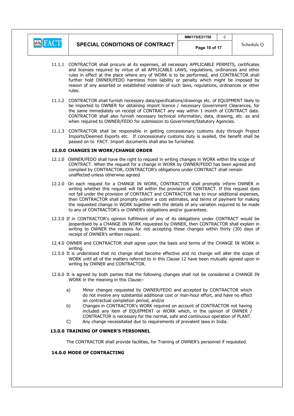

 $MM/175/F21758$  0

- 11.1.1 CONTRACTOR shall procure at its expenses, all necessary APPLICABLE PERMITS, certificates and licenses required by virtue of all APPLICABLE LAWS, regulations, ordinances and other rules in effect at the place where any of WORK is to be performed, and CONTRACTOR shall further hold OWNER/FEDO harmless from liability or penalty which might be imposed by reason of any asserted or established violation of such laws, regulations, ordinances or other rules.
- 11.1.2 CONTRACTOR shall furnish necessary data/specifications/drawings etc. of EQUIPMENT likely to be imported to OWNER for obtaining import licence / necessary Government Clearances, for the same immediately on receipt of CONTRACT any way within 1 month of CONTRACT date. CONTRACTOR shall also furnish necessary technical information, data, drawing, etc. as and when required to OWNER/FEDO for submission to Government/Statutory Agencies.
- 11.1.3 CONTRACTOR shall be responsible in getting concessionary customs duty through Project Imports/Deemed Exports etc. If concessionary customs duty is availed, the benefit shall be passed on to FACT. Import documents shall also be furnished.

#### 12.0.0 CHANGES IN WORK/CHANGE ORDER

- 12.1.0 OWNER/FEDO shall have the right to request in writing changes in WORK within the scope of CONTRACT. When the request for a change in WORK by OWNER/FEDO has been agreed and complied by CONTRACTOR, CONTRACTOR's obligations under CONTRACT shall remain unaffected unless otherwise agreed.
- 12.2.0 On each request for a CHANGE IN WORK, CONTRACTOR shall promptly inform OWNER in writing whether this request will fall within the provision of CONTRACT. If this request does not fall under the provision of CONTRACT and CONTRACTOR has to incur additional expenses, then CONTRACTOR shall promptly submit a cost estimates, and terms of payment for making the requested change in WORK together with the details of any variation required to be made to any of CONTRACTOR's or OWNER's obligations and/or guarantees.
- 12.3.0 If in CONTRACTOR's opinion fulfillment of any of its obligations under CONTRACT would be jeopardised by a CHANGE IN WORK requested by OWNER, then CONTRACTOR shall explain in writing to OWNER the reasons for not accepting these changes within thirty (30) days of receipt of OWNER's written request.
- 12.4.0 OWNER and CONTRACTOR shall agree upon the basis and terms of the CHANGE IN WORK in writing.
- 12.5.0 It is understood that no change shall become effective and no change will alter the scope of WORK until all of the matters referred to in this Clause 12 have been mutually agreed upon in writing by OWNER and CONTRACTOR.
- 12.6.0 It is agreed by both parties that the following changes shall not be considered a CHANGE IN WORK in the meaning in this Clause:
	- a) Minor changes requested by OWNER/FEDO and accepted by CONTRACTOR which do not involve any substantial additional cost or man-hour effort, and have no effect on contractual completion period, and/or
	- b) Changes in CONTRACTOR's WORK required on account of CONTRACTOR not having included any item of EQUIPMENT or WORK which, in the opinion of OWNER / CONTRACTOR is necessary for the normal, safe and continuous operation of PLANT.
	- C) Any change necessitated due to requirements of prevalent laws in India.

# 13.0.0 TRAINING OF OWNER'S PERSONNEL

The CONTRACTOR shall provide facilities, for Training of OWNER's personnel if requested.

# 14.0.0 MODE OF CONTRACTING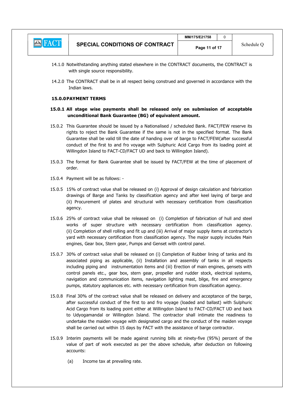|                                          |                                | MM/175/E21758 |            |
|------------------------------------------|--------------------------------|---------------|------------|
| $\sqrt{ }$<br>$ A - \lambda $<br>NH A IN | SPECIAL CONDITIONS OF CONTRACT | Page 11 of 17 | Schedule ( |

- 14.1.0 Notwithstanding anything stated elsewhere in the CONTRACT documents, the CONTRACT is with single source responsibility.
- 14.2.0 The CONTRACT shall be in all respect being construed and governed in accordance with the Indian laws.

#### 15.0.0PAYMENT TERMS

### 15.0.1 All stage wise payments shall be released only on submission of acceptable unconditional Bank Guarantee (BG) of equivalent amount.

- 15.0.2 This Guarantee should be issued by a Nationalised / scheduled Bank. FACT/FEW reserve its rights to reject the Bank Guarantee if the same is not in the specified format. The Bank Guarantee shall be valid till the date of handing over of barge to FACT/FEW(after successful conduct of the first to and fro voyage with Sulphuric Acid Cargo from its loading point at Willingdon Island to FACT-CD/FACT UD and back to Willingdon Island).
- 15.0.3 The format for Bank Guarantee shall be issued by FACT/FEW at the time of placement of order.
- 15.0.4 Payment will be as follows: -
- 15.0.5 15% of contract value shall be released on (i) Approval of design calculation and fabrication drawings of Barge and Tanks by classification agency and after keel laying of barge and (ii) Procurement of plates and structural with necessary certification from classification agency.
- 15.0.6 25% of contract value shall be released on (i) Completion of fabrication of hull and steel works of super structure with necessary certification from classification agency. (ii) Completion of shell rolling and fit up and (iii) Arrival of major supply items at contractor's yard with necessary certification from classification agency. The major supply includes Main engines, Gear box, Stern gear, Pumps and Genset with control panel.
- 15.0.7 30% of contract value shall be released on (i) Completion of Rubber lining of tanks and its associated piping as applicable, (ii) Installation and assembly of tanks in all respects including piping and instrumentation items and (iii) Erection of main engines, gensets with control panels etc., gear box, stern gear, propeller and rudder stock, electrical systems, navigation and communication items, navigation lighting mast, bilge, fire and emergency pumps, statutory appliances etc. with necessary certification from classification agency.
- 15.0.8 Final 30% of the contract value shall be released on delivery and acceptance of the barge, after successful conduct of the first to and fro voyage (loaded and ballast) with Sulphuric Acid Cargo from its loading point either at Willingdon Island to FACT-CD/FACT UD and back to Udyogamandal or Willingdon Island. The contractor shall intimate the readiness to undertake the maiden voyage with designated cargo and the conduct of the maiden voyage shall be carried out within 15 days by FACT with the assistance of barge contractor.
- 15.0.9 Interim payments will be made against running bills at ninety-five (95%) percent of the value of part of work executed as per the above schedule, after deduction on following accounts:
	- (a) Income tax at prevailing rate.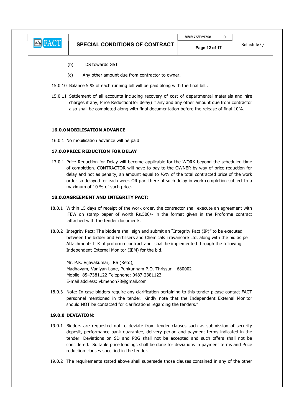

- (b) TDS towards GST
- (c) Any other amount due from contractor to owner.
- 15.0.10 Balance 5 % of each running bill will be paid along with the final bill..
- 15.0.11 Settlement of all accounts including recovery of cost of departmental materials and hire charges if any, Price Reduction(for delay) if any and any other amount due from contractor also shall be completed along with final documentation before the release of final 10%.

### 16.0.0MOBILISATION ADVANCE

16.0.1 No mobilisation advance will be paid.

#### 17.0.0PRICE REDUCTION FOR DELAY

17.0.1 Price Reduction for Delay will become applicable for the WORK beyond the scheduled time of completion. CONTRACTOR will have to pay to the OWNER by way of price reduction for delay and not as penalty, an amount equal to  $1/2\%$  of the total contracted price of the work order so delayed for each week OR part there of such delay in work completion subject to a maximum of 10 % of such price.

#### 18.0.0AGREEMENT AND INTEGRITY PACT:

- 18.0.1 Within 15 days of receipt of the work order, the contractor shall execute an agreement with FEW on stamp paper of worth Rs.500/- in the format given in the Proforma contract attached with the tender documents.
- 18.0.2 Integrity Pact: The bidders shall sign and submit an "Integrity Pact (IP)" to be executed between the bidder and Fertilisers and Chemicals Travancore Ltd. along with the bid as per Attachment- II K of proforma contract and shall be implemented through the following Independent External Monitor (IEM) for the bid.

 Mr. P.K. Vijayakumar, IRS (Retd), Madhavam, Vaniyan Lane, Punkunnam P.O, Thrissur – 680002 Mobile: 8547381122 Telephone: 0487-2381123 E-mail address: vkmenon78@gmail.com

18.0.3 Note: In case bidders require any clarification pertaining to this tender please contact FACT personnel mentioned in the tender. Kindly note that the Independent External Monitor should NOT be contacted for clarifications regarding the tenders."

### 19.0.0 DEVIATION:

- 19.0.1 Bidders are requested not to deviate from tender clauses such as submission of security deposit, performance bank guarantee, delivery period and payment terms indicated in the tender. Deviations on SD and PBG shall not be accepted and such offers shall not be considered. Suitable price loadings shall be done for deviations in payment terms and Price reduction clauses specified in the tender.
- 19.0.2 The requirements stated above shall supersede those clauses contained in any of the other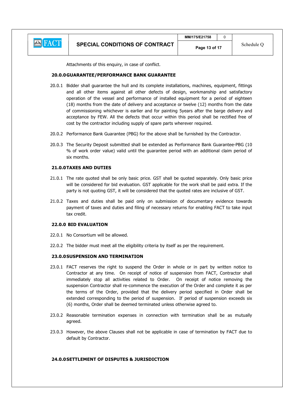

Attachments of this enquiry, in case of conflict.

### 20.0.0GUARANTEE/PERFORMANCE BANK GUARANTEE

- 20.0.1 Bidder shall guarantee the hull and its complete installations, machines, equipment, fittings and all other items against all other defects of design, workmanship and satisfactory operation of the vessel and performance of installed equipment for a period of eighteen (18) months from the date of delivery and acceptance or twelve (12) months from the date of commissioning whichever is earlier and for painting 5years after the barge delivery and acceptance by FEW. All the defects that occur within this period shall be rectified free of cost by the contractor including supply of spare parts wherever required.
- 20.0.2 Performance Bank Guarantee (PBG) for the above shall be furnished by the Contractor.
- 20.0.3 The Security Deposit submitted shall be extended as Performance Bank Guarantee-PBG (10 % of work order value) valid until the guarantee period with an additional claim period of six months.

#### 21.0.0TAXES AND DUTIES

- 21.0.1 The rate quoted shall be only basic price. GST shall be quoted separately. Only basic price will be considered for bid evaluation. GST applicable for the work shall be paid extra. If the party is not quoting GST, it will be considered that the quoted rates are inclusive of GST.
- 21.0.2 Taxes and duties shall be paid only on submission of documentary evidence towards payment of taxes and duties and filing of necessary returns for enabling FACT to take input tax credit.

# 22.0.0 BID EVALUATION

- 22.0.1 No Consortium will be allowed.
- 22.0.2 The bidder must meet all the eligibility criteria by itself as per the requirement.

### 23.0.0SUSPENSION AND TERMINATION

- 23.0.1 FACT reserves the right to suspend the Order in whole or in part by written notice to Contractor at any time. On receipt of notice of suspension from FACT, Contractor shall immediately stop all activities related to Order. On receipt of notice removing the suspension Contractor shall re-commence the execution of the Order and complete it as per the terms of the Order, provided that the delivery period specified in Order shall be extended corresponding to the period of suspension. If period of suspension exceeds six (6) months, Order shall be deemed terminated unless otherwise agreed to.
- 23.0.2 Reasonable termination expenses in connection with termination shall be as mutually agreed.
- 23.0.3 However, the above Clauses shall not be applicable in case of termination by FACT due to default by Contractor.

# 24.0.0SETTLEMENT OF DISPUTES & JURISDICTION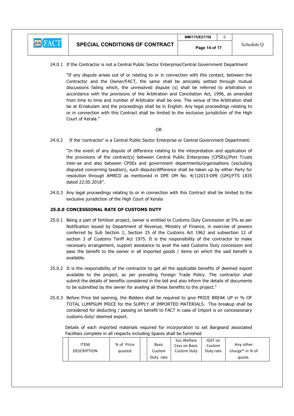

24.0.1 If the Contractor is not a Central Public Sector Enterprise/Central Government Department

"If any dispute arises out of or relating to or in connection with this contact, between the Contractor and the Owner/FACT, the same shall be amicably settled through mutual discussions failing which, the unresolved dispute (s) shall be referred to arbitration in accordance with the provisions of the Arbitration and Conciliation Act, 1996, as amended from time to time and number of Arbitrator shall be one. The venue of the Arbitration shall be at Ernakulam and the proceedings shall be in English. Any legal proceedings relating to or in connection with this Contract shall be limited to the exclusive jurisdiction of the High Court of Kerala."

# **OR** Service Service Service Service Service Service Service Service Service Service Service Service Service Service Service Service Service Service Service Service Service Service Service Service Service Service Service S

24.0.2 If the 'contractor' is a Central Public Sector Enterprise or Central Government Department:

"In the event of any dispute of difference relating to the interpretation and application of the provisions of the contract(s) between Central Public Enterprises (CPSEs)/Port Trusts inter-se and also between CPSEs and government departments/organisations (excluding disputed concerning taxation), such dispute/difference shall be taken up by either Party for resolution through AMRCD as mentioned in DPE OM No. 4(1)2013-DPE (GM)/FTS 1835 dated 22.05.2018".

24.0.3 Any legal proceedings relating to or in connection with this Contract shall be limited to the exclusive jurisdiction of the High Court of Kerala

# 25.0.0 CONCESSIONAL RATE OF CUSTOMS DUTY

- 25.0.1 Being a part of fertilizer project, owner is entitled to Customs Duty Concession at 5% as per Notification issued by Department of Revenue, Ministry of Finance, in exercise of powers conferred by Sub Section 1, Section 25 of the Customs Act 1962 and subsection 12 of section 3 of Customs Tariff Act 1975. It is the responsibility of the contractor to make necessary arrangement, support assistance to avail the said Customs Duty concession and pass the benefit to the owner in all imported goods / items on which the said benefit is available.
- 25.0.2 It is the responsibility of the contractor to get all the applicable benefits of deemed export available to the project, as per prevailing Foreign Trade Policy. The contractor shall submit the details of benefits considered in the bid and also inform the details of documents to be submitted by the owner for availing all these benefits to the project."
- 25.0.3 Before Price bid opening, the Bidders shall be required to give PRICE BREAK UP in % OF TOTAL LUMPSUM PRICE for the SUPPLY of IMPORTED MATERIALS. This breakup shall be considered for deducting / passing on benefit to FACT in case of Import is on concessionary customs duty/ deemed export.

 Details of each imported materials required for incorporation to set Bargeand associated Facilities complete in all respects including Spares shall be furnished

| <b>ITEM</b><br><b>DESCRIPTION</b> | % of Price<br>quoted |  | Basic<br>Custom<br>Duty rate | Soc.Welfare<br>Cess on Basic<br>Custom Duty | IGST on<br>Custom<br>Duty rate | Any other<br>charge <sup>*</sup> in % of<br>quote. |
|-----------------------------------|----------------------|--|------------------------------|---------------------------------------------|--------------------------------|----------------------------------------------------|
|-----------------------------------|----------------------|--|------------------------------|---------------------------------------------|--------------------------------|----------------------------------------------------|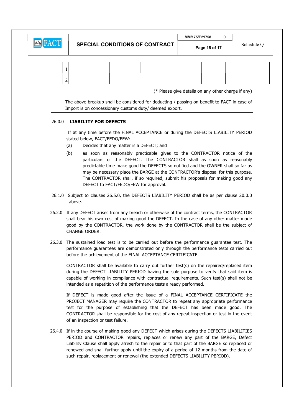**E** FACT

|  | (* Please give details on any other charge if any) |  |  |
|--|----------------------------------------------------|--|--|

Page 15 of 17

 The above breakup shall be considered for deducting / passing on benefit to FACT in case of Import is on concessionary customs duty/ deemed export.

# 26.0.0 LIABILITY FOR DEFECTS

 If at any time before the FINAL ACCEPTANCE or during the DEFECTS LIABILITY PERIOD stated below, FACT/FEDO/FEW:

- (a) Decides that any matter is a DEFECT; and
- (b) as soon as reasonably practicable gives to the CONTRACTOR notice of the particulars of the DEFECT. The CONTRACTOR shall as soon as reasonably predictable time make good the DEFECTS so notified and the OWNER shall so far as may be necessary place the BARGE at the CONTRACTOR's disposal for this purpose. The CONTRACTOR shall, if so required, submit his proposals for making good any DEFECT to FACT/FEDO/FEW for approval.
- 26.1.0 Subject to clauses 26.5.0, the DEFECTS LIABILITY PERIOD shall be as per clause 20.0.0 above.
- 26.2.0 If any DEFECT arises from any breach or otherwise of the contract terms, the CONTRACTOR shall bear his own cost of making good the DEFECT. In the case of any other matter made good by the CONTRACTOR, the work done by the CONTRACTOR shall be the subject of CHANGE ORDER.
- 26.3.0 The sustained load test is to be carried out before the performance guarantee test. The performance guarantees are demonstrated only through the performance tests carried out before the achievement of the FINAL ACCEPTANCE CERTIFICATE.

CONTRACTOR shall be available to carry out further test(s) on the repaired/replaced item during the DEFECT LIABILITY PERIOD having the sole purpose to verify that said item is capable of working in compliance with contractual requirements. Such test(s) shall not be intended as a repetition of the performance tests already performed.

If DEFECT is made good after the issue of a FINAL ACCEPTANCE CERTIFICATE the PROJECT MANAGER may require the CONTRACTOR to repeat any appropriate performance test for the purpose of establishing that the DEFECT has been made good. The CONTRACTOR shall be responsible for the cost of any repeat inspection or test in the event of an inspection or test failure.

26.4.0 If in the course of making good any DEFECT which arises during the DEFECTS LIABILITIES PERIOD and CONTRACTOR repairs, replaces or renew any part of the BARGE, Defect Liability Clause shall apply afresh to the repair or to that part of the BARGE so replaced or renewed and shall further apply until the expiry of a period of 12 months from the date of such repair, replacement or renewal (the extended DEFECTS LIABILITY PERIOD).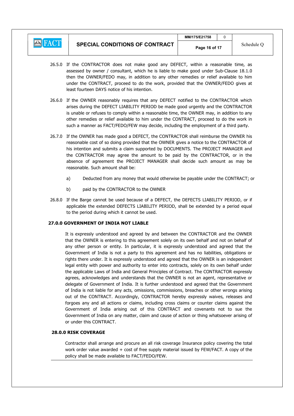

- 26.5.0 If the CONTRACTOR does not make good any DEFECT, within a reasonable time, as assessed by owner / consultant, which he is liable to make good under Sub-Clause 18.1.0 then the OWNER/FEDO may, in addition to any other remedies or relief available to him under the CONTRACT, proceed to do the work, provided that the OWNER/FEDO gives at least fourteen DAYS notice of his intention.
- 26.6.0 If the OWNER reasonably requires that any DEFECT notified to the CONTRACTOR which arises during the DEFECT LIABILITY PERIOD be made good urgently and the CONTRACTOR is unable or refuses to comply within a reasonable time, the OWNER may, in addition to any other remedies or relief available to him under the CONTRACT, proceed to do the work in such a manner as FACT/FEDO/FEW may decide, including the employment of a third party.
- 26.7.0 If the OWNER has made good a DEFECT, the CONTRACTOR shall reimburse the OWNER his reasonable cost of so doing provided that the OWNER gives a notice to the CONTRACTOR of his intention and submits a claim supported by DOCUMENTS. The PROJECT MANAGER and the CONTRACTOR may agree the amount to be paid by the CONTRACTOR, or in the absence of agreement the PROJECT MANAGER shall decide such amount as may be reasonable. Such amount shall be:
	- a) Deducted from any money that would otherwise be payable under the CONTRACT; or
	- b) paid by the CONTRACTOR to the OWNER
- 26.8.0 If the Barge cannot be used because of a DEFECT, the DEFECTS LIABILITY PERIOD, or if applicable the extended DEFECTS LIABILITY PERIOD, shall be extended by a period equal to the period during which it cannot be used.

# 27.0.0 GOVERNMENT OF INDIA NOT LIABLE

 It is expressly understood and agreed by and between the CONTRACTOR and the OWNER that the OWNER is entering to this agreement solely on its own behalf and not on behalf of any other person or entity. In particular, it is expressly understood and agreed that the Government of India is not a party to this agreement and has no liabilities, obligations or rights there under. It is expressly understood and agreed that the OWNER is an independent legal entity with power and authority to enter into contracts, solely on its own behalf under the applicable Laws of India and General Principles of Contract. The CONTRACTOR expressly agrees, acknowledges and understands that the OWNER is not an agent, representative or delegate of Government of India. It is further understood and agreed that the Government of India is not liable for any acts, omissions, commissions, breaches or other wrongs arising out of the CONTRACT. Accordingly, CONTRACTOR hereby expressly waives, releases and forgoes any and all actions or claims, including cross claims or counter claims against the Government of India arising out of this CONTRACT and covenants not to sue the Government of India on any matter, claim and cause of action or thing whatsoever arising of or under this CONTRACT.

28.0.0 RISK COVERAGE<br>Contractor shall arrange and procure an all risk coverage Insurance policy covering the total work order value awarded + cost of free supply material issued by FEW/FACT. A copy of the policy shall be made available to FACT/FEDO/FEW.